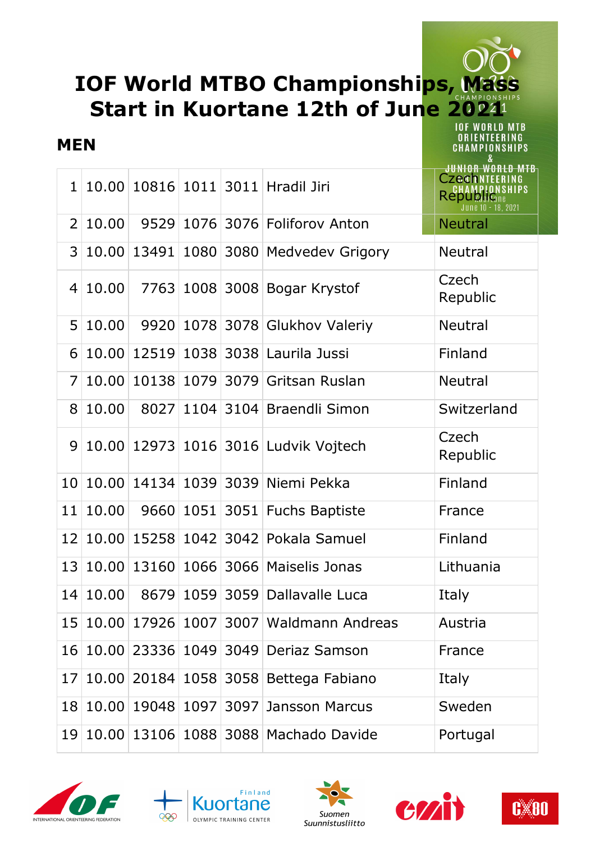## **IOF World MTBO Championships, Mass Start in Kuortane 12th of June 2021 IOF WORLD MTB**

#### **MEN**

1 10.00 10816 1011 3011 Hradil Jiri Czechnicering **Republicant Republicant Republicant Republicant Republicant Republicant Republic Republic Republic Republic Republic Republic Republic Republic Republic Republic Republic Republic Republic Republic Republic Republic Repub** 2 10.00 9529 1076 3076 Foliforov Anton 3 10.00 13491 1080 3080 Medvedev Grigory Neutral <sup>4</sup> 10.00 7763 <sup>1008</sup> <sup>3008</sup> Bogar Krystof Czech Republic 5 10.00 9920 1078 3078 Glukhov Valeriy Neutral 6 10.00 12519 1038 3038 Laurila Jussi Finland 7 10.00 10138 1079 3079 Gritsan Ruslan Neutral 8 10.00 8027 1104 3104 Braendli Simon Switzerland <sup>9</sup> 10.00 12973 <sup>1016</sup> <sup>3016</sup> Ludvik Vojtech Czech Republic 10 10.00 14134 1039 3039 Niemi Pekka Finland 11 10.00 9660 1051 3051 Fuchs Baptiste France 12 10.00 15258 1042 3042 Pokala Samuel Finland 13 10.00 13160 1066 3066 Maiselis Jonas Lithuania 14 10.00 8679 1059 3059 Dallavalle Luca Italy 15 10.00 17926 1007 3007 Waldmann Andreas Austria 16 10.00 23336 1049 3049 Deriaz Samson France 17 10.00 20184 1058 3058 Bettega Fabiano Italy 18 10.00 19048 1097 3097 Jansson Marcus Sweden 19 10.00 13106 1088 3088 Machado Davide Portugal











ORIENTEERING **CHAMPIONSHIPS**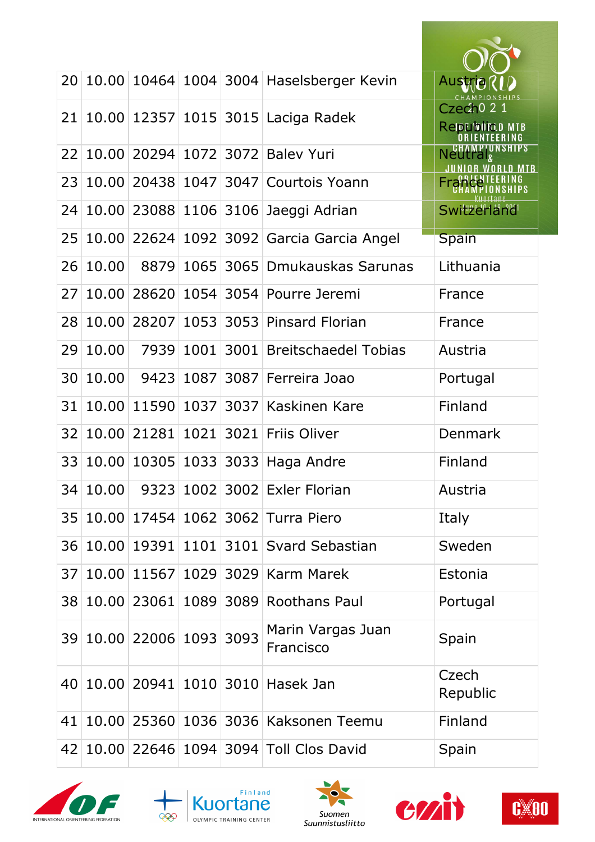| 20 | 10.00 |                          |      | 10464 1004 3004 Haselsberger Kevin        | <b>Austria</b>                             |
|----|-------|--------------------------|------|-------------------------------------------|--------------------------------------------|
| 21 |       |                          |      | 10.00 12357 1015 3015 Laciga Radek        | Czech <sup>021</sup><br>Relocution MTB     |
| 22 | 10.00 |                          |      | 20294 1072 3072 Baley Yuri                | <b>N</b> CHAMPIONSHIPS<br><b>WORLD MTB</b> |
| 23 | 10.00 | 20438                    | 1047 | 3047 Courtois Yoann                       |                                            |
| 24 | 10.00 |                          |      | 23088 1106 3106 Jaeggi Adrian             | Switzerländ                                |
| 25 | 10.00 |                          |      | 22624   1092   3092   Garcia Garcia Angel | <b>Spain</b>                               |
| 26 | 10.00 | 8879                     | 1065 | 3065 Dmukauskas Sarunas                   | Lithuania                                  |
| 27 | 10.00 | 28620                    | 1054 | 3054 Pourre Jeremi                        | France                                     |
| 28 | 10.00 | 28207                    | 1053 | 3053 Pinsard Florian                      | France                                     |
| 29 | 10.00 | 7939                     | 1001 | 3001 Breitschaedel Tobias                 | Austria                                    |
| 30 | 10.00 | 9423                     | 1087 | 3087 Ferreira Joao                        | Portugal                                   |
| 31 | 10.00 | 11590                    | 1037 | 3037 Kaskinen Kare                        | Finland                                    |
| 32 | 10.00 | 21281                    | 1021 | 3021 Friis Oliver                         | Denmark                                    |
| 33 | 10.00 | 10305                    | 1033 | 3033 Haga Andre                           | Finland                                    |
| 34 | 10.00 |                          |      | 9323 1002 3002 Exler Florian              | Austria                                    |
| 35 | 10.00 |                          |      | 17454 1062 3062 Turra Piero               | Italy                                      |
| 36 | 10.00 |                          |      | 19391 1101 3101 Svard Sebastian           | Sweden                                     |
| 37 | 10.00 | 11567                    |      | 1029 3029 Karm Marek                      | Estonia                                    |
| 38 |       | 10.00 23061              |      | 1089 3089 Roothans Paul                   | Portugal                                   |
|    |       | 39 10.00 22006 1093 3093 |      | Marin Vargas Juan<br>Francisco            | Spain                                      |
| 40 |       |                          |      | 10.00 20941 1010 3010 Hasek Jan           | Czech<br>Republic                          |
| 41 |       |                          |      | 10.00 25360 1036 3036 Kaksonen Teemu      | Finland                                    |
| 42 |       |                          |      | 10.00 22646 1094 3094 Toll Clos David     | Spain                                      |









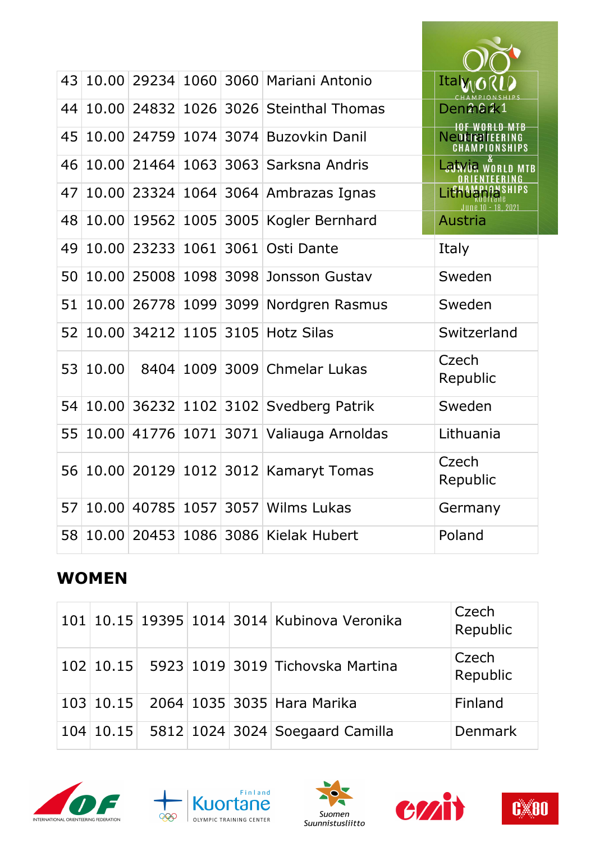| 43 |       |             |      | 10.00 29234 1060 3060 Mariani Antonio | Ital                                                   |
|----|-------|-------------|------|---------------------------------------|--------------------------------------------------------|
| 44 |       | 10.00 24832 |      | 1026 3026 Steinthal Thomas            | Den <b>ก</b> ิลย์k1                                    |
| 45 | 10.00 | 24759       | 1074 | 3074 Buzovkin Danil                   | <b>10F WORLD MTB</b><br>Neutraltering<br>CHAMPIONSHIPS |
| 46 |       | 10.00 21464 | 1063 | 3063 Sarksna Andris                   | <b>Laivua world MTB</b>                                |
| 47 |       | 10.00 23324 |      | 1064 3064 Ambrazas Ignas              | I ith AMPIP<br>une 10 - 18, 2021                       |
| 48 |       | 10.00 19562 |      | 1005 3005 Kogler Bernhard             | <b>Austria</b>                                         |
| 49 | 10,00 | 23233       | 1061 | 3061 Osti Dante                       | Italy                                                  |
| 50 | 10.00 | 25008       | 1098 | 3098 Jonsson Gustav                   | Sweden                                                 |
| 51 | 10.00 | 26778       |      | 1099 3099 Nordgren Rasmus             | Sweden                                                 |
| 52 | 10.00 | 34212       |      | 1105 3105 Hotz Silas                  | Switzerland                                            |
| 53 | 10.00 | 8404        |      | 1009 3009 Chmelar Lukas               | Czech<br>Republic                                      |
| 54 | 10.00 | 36232       |      | 1102 3102 Svedberg Patrik             | Sweden                                                 |
| 55 | 10.00 | 41776       |      | 1071 3071 Valiauga Arnoldas           | Lithuania                                              |
| 56 |       |             |      | 10.00 20129 1012 3012 Kamaryt Tomas   | Czech<br>Republic                                      |
| 57 | 10.00 | 40785       | 1057 | 3057 Wilms Lukas                      | Germany                                                |
| 58 |       | 10.00 20453 |      | 1086 3086 Kielak Hubert               | Poland                                                 |

# **WOMEN**

|  |  | 101 10.15 19395 1014 3014 Kubinova Veronika | Czech<br>Republic |
|--|--|---------------------------------------------|-------------------|
|  |  | 102 10.15 5923 1019 3019 Tichovska Martina  | Czech<br>Republic |
|  |  | 103 10.15 2064 1035 3035 Hara Marika        | Finland           |
|  |  | 104 10.15 5812 1024 3024 Soegaard Camilla   | Denmark           |









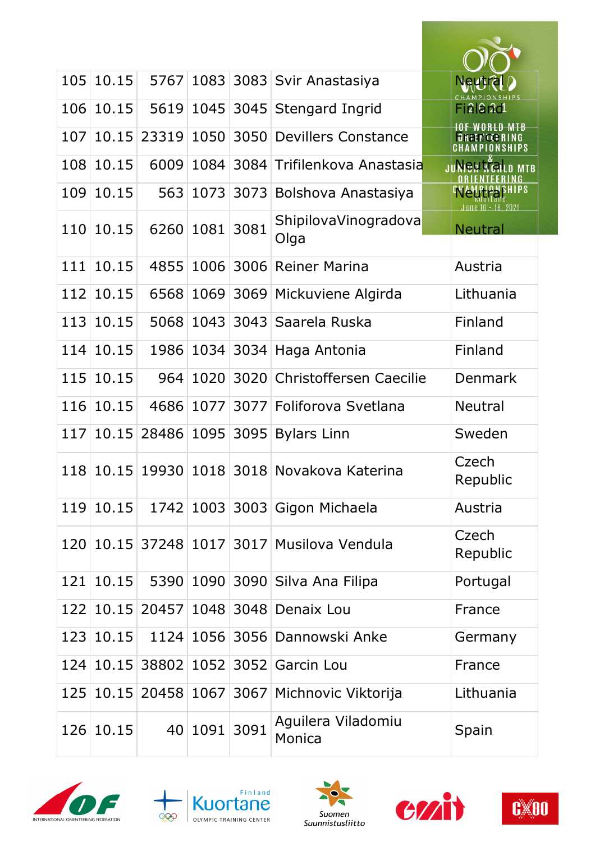|     | 105 10.15 | 5767  |         |      | 1083 3083 Svir Anastasiya                     | Neutra                 |
|-----|-----------|-------|---------|------|-----------------------------------------------|------------------------|
| 106 | 10.15     | 5619  | 1045    |      | 3045 Stengard Ingrid                          | Fi219r2d1              |
| 107 | 10.15     | 23319 | 1050    |      | 3050 Devillers Constance                      |                        |
| 108 | 10.15     | 6009  | 1084    |      | 3084 Trifilenkova Anastasia                   | nheu tra<br><b>MTB</b> |
| 109 | 10.15     | 563   | 1073    |      | 3073 Bolshova Anastasiya                      | - 18. 2021             |
| 110 | 10.15     | 6260  | 1081    | 3081 | ShipilovaVinogradova<br>Olga                  | <b>Neutral</b>         |
| 111 | 10.15     | 4855  | 1006    | 3006 | <b>Reiner Marina</b>                          | Austria                |
| 112 | 10.15     | 6568  | 1069    |      | 3069 Mickuviene Algirda                       | Lithuania              |
| 113 | 10.15     | 5068  | 1043    |      | 3043 Saarela Ruska                            | Finland                |
| 114 | 10.15     | 1986  |         |      | 1034 3034 Haga Antonia                        | Finland                |
| 115 | 10.15     | 964   | 1020    |      | 3020 Christoffersen Caecilie                  | Denmark                |
| 116 | 10.15     | 4686  | 1077    |      | 3077 Foliforova Svetlana                      | <b>Neutral</b>         |
| 117 | 10.15     | 28486 | 1095    | 3095 | <b>Bylars Linn</b>                            | Sweden                 |
| 118 | 10.15     |       |         |      | 19930 1018 3018 Novakova Katerina             | Czech<br>Republic      |
| 119 | 10.15     |       |         |      | 1742 1003 3003 Gigon Michaela                 | Austria                |
| 120 |           |       |         |      | 10.15 37248 1017 3017 Musilova Vendula        | Czech<br>Republic      |
| 121 | 10.15     | 5390  |         |      | 1090 3090 Silva Ana Filipa                    | Portugal               |
|     |           |       |         |      | 122 10.15 20457 1048 3048 Denaix Lou          | France                 |
| 123 | 10.15     |       |         |      | 1124 1056 3056 Dannowski Anke                 | Germany                |
| 124 |           |       |         |      | 10.15 38802 1052 3052 Garcin Lou              | France                 |
|     |           |       |         |      | 125 10.15 20458 1067 3067 Michnovic Viktorija | Lithuania              |
|     | 126 10.15 |       | 40 1091 | 3091 | Aguilera Viladomiu<br>Monica                  | Spain                  |









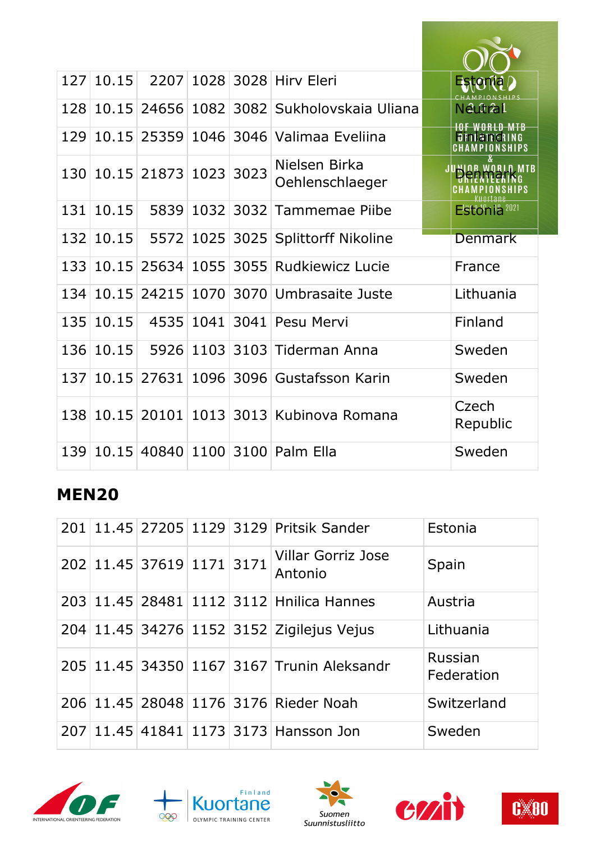| 127 | 10.15 |                           |           |           | 2207 1028 3028 Hirv Eleri                 | Estonia              |
|-----|-------|---------------------------|-----------|-----------|-------------------------------------------|----------------------|
| 128 | 10.15 | 24656                     | 1082      |           | 3082 Sukholovskaja Uliana                 | Neutral              |
| 129 | 10.15 | 25359                     |           |           | 1046 3046 Valimaa Eveliina                | <b>ORTLATTER</b>     |
|     |       | 130 10.15 21873 1023 3023 |           |           | Nielsen Birka<br>Oehlenschlaeger          | linr world mtb       |
| 131 | 10.15 | 5839                      | 1032      | 3032      | Tammemae Piibe                            | <b>Eston la 2021</b> |
| 132 | 10.15 | 5572                      |           |           | 1025 3025 Splittorff Nikoline             | <b>Denmark</b>       |
| 133 | 10.15 | 25634                     | 1055      | 3055      | <b>Rudkiewicz Lucie</b>                   | France               |
| 134 | 10.15 |                           |           |           | 24215 1070 3070 Umbrasaite Juste          | Lithuania            |
| 135 | 10.15 |                           | 4535 1041 | 3041      | Pesu Mervi                                | Finland              |
| 136 | 10.15 | 5926                      |           | 1103 3103 | <b>Tiderman Anna</b>                      | Sweden               |
| 137 | 10.15 | 27631                     | 1096      |           | 3096 Gustafsson Karin                     | Sweden               |
|     |       |                           |           |           | 138 10.15 20101 1013 3013 Kubinova Romana | Czech<br>Republic    |
| 139 |       |                           |           |           | 10.15 40840 1100 3100 Palm Ella           | Sweden               |

## **MEN20**

|  |                           |  | 201 11.45 27205 1129 3129 Pritsik Sander   | Estonia               |
|--|---------------------------|--|--------------------------------------------|-----------------------|
|  | 202 11.45 37619 1171 3171 |  | <b>Villar Gorriz Jose</b><br>Antonio       | Spain                 |
|  |                           |  | 203 11.45 28481 1112 3112 Hnilica Hannes   | Austria               |
|  |                           |  | 204 11.45 34276 1152 3152 Zigilejus Vejus  | Lithuania             |
|  |                           |  | 205 11.45 34350 1167 3167 Trunin Aleksandr | Russian<br>Federation |
|  |                           |  | 206 11.45 28048 1176 3176 Rieder Noah      | Switzerland           |
|  |                           |  | 207 11.45 41841 1173 3173 Hansson Jon      | Sweden                |









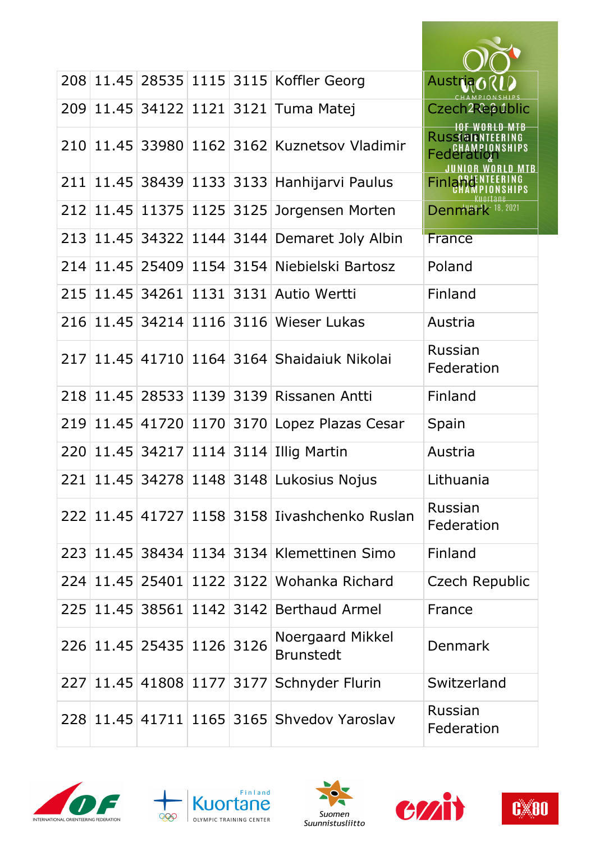|     |                             |      |           | 208 11.45 28535 1115 3115 Koffler Georg       | Austria                                                     |
|-----|-----------------------------|------|-----------|-----------------------------------------------|-------------------------------------------------------------|
| 209 |                             |      |           | 11.45 34122 1121 3121 Tuma Matej              | Czech2Rebublic                                              |
|     |                             |      |           | 210 11.45 33980 1162 3162 Kuznetsov Vladimir  | <b>RUSSIBIENTEERI</b><br><b>CHAMPIONSHIPS</b><br>Federation |
| 211 |                             |      |           | 11.45 38439 1133 3133 Hanhijarvi Paulus       | <b>Finlal</b>                                               |
| 212 | 11.45 11375                 |      | 1125 3125 | Jorgensen Morten                              | Denmark <sup>18, 2021</sup>                                 |
| 213 |                             |      |           | 11.45 34322 1144 3144 Demaret Joly Albin      | France                                                      |
| 214 |                             |      |           | 11.45 25409 1154 3154 Niebielski Bartosz      | Poland                                                      |
|     | 215 11.45 34261             |      |           | 1131 3131 Autio Wertti                        | Finland                                                     |
| 216 | 11.45 34214 1116            |      |           | 3116 Wieser Lukas                             | Austria                                                     |
| 217 |                             |      |           | 11.45 41710 1164 3164 Shaidaiuk Nikolai       | Russian<br>Federation                                       |
| 218 | 11.45   28533   1139   3139 |      |           | Rissanen Antti                                | Finland                                                     |
| 219 | 11.45 41720                 | 1170 |           | 3170 Lopez Plazas Cesar                       | Spain                                                       |
| 220 | 11.45 34217                 | 1114 | 3114      | <b>Illig Martin</b>                           | Austria                                                     |
| 221 |                             |      |           | 11.45 34278 1148 3148 Lukosius Nojus          | Lithuania                                                   |
|     |                             |      |           | 222 11.45 41727 1158 3158 Iivashchenko Ruslan | Russian<br>Federation                                       |
|     |                             |      |           | 223 11.45 38434 1134 3134 Klemettinen Simo    | Finland                                                     |
|     |                             |      |           | 224 11.45 25401 1122 3122 Wohanka Richard     | Czech Republic                                              |
|     |                             |      |           | 225 11.45 38561 1142 3142 Berthaud Armel      | France                                                      |
|     | 226 11.45 25435 1126 3126   |      |           | Noergaard Mikkel<br><b>Brunstedt</b>          | <b>Denmark</b>                                              |
| 227 | 11.45 41808 1177 3177       |      |           | Schnyder Flurin                               | Switzerland                                                 |
|     |                             |      |           | 228 11.45 41711 1165 3165 Shvedov Yaroslav    | Russian<br>Federation                                       |









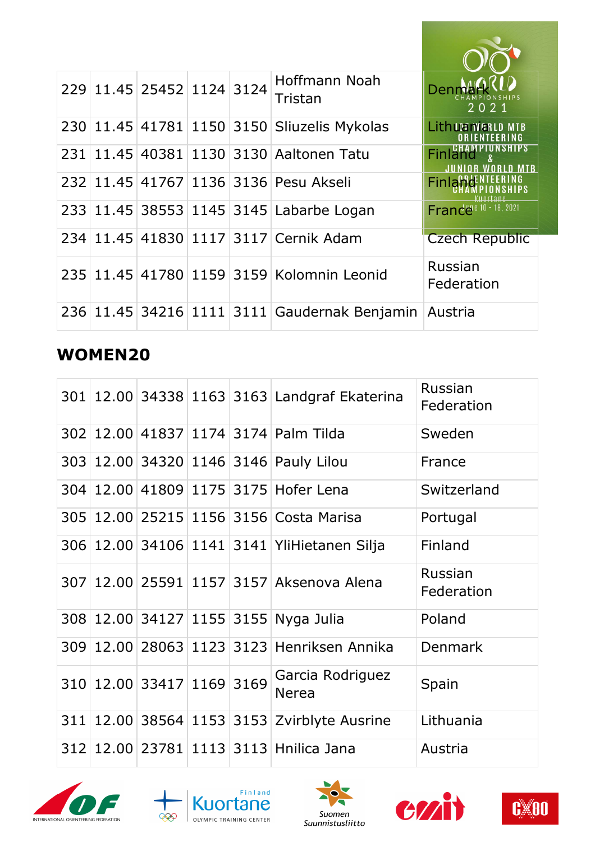|  | 229 11.45 25452 1124 3124 |  | Hoffmann Noah<br>Tristan                     | Der<br>2021                                     |
|--|---------------------------|--|----------------------------------------------|-------------------------------------------------|
|  |                           |  | 230 11.45 41781 1150 3150 Sliuzelis Mykolas  | Lith Um WERLD MTB<br>' NR I E NTE E R I N G     |
|  |                           |  | 231 11.45 40381 1130 3130 Aaltonen Tatu      | <b>AMPIUNSHIPS</b><br>Finland<br><b>RID MTB</b> |
|  |                           |  | 232 11.45 41767 1136 3136 Pesu Akseli        | <b>Finland</b><br>'IInrtane                     |
|  |                           |  | 233 11.45 38553 1145 3145 Labarbe Logan      | France <sup>e 10 - 18,</sup> 2021               |
|  |                           |  | 234 11.45 41830 1117 3117 Cernik Adam        | <b>Czech Republic</b>                           |
|  |                           |  | 235 11.45 41780 1159 3159 Kolomnin Leonid    | Russian<br>Federation                           |
|  |                           |  | 236 11.45 34216 1111 3111 Gaudernak Benjamin | Austria                                         |

## **WOMEN20**

|     |                           |  | 301   12.00   34338   1163   3163   Landgraf Ekaterina | Russian<br>Federation |
|-----|---------------------------|--|--------------------------------------------------------|-----------------------|
|     |                           |  | 302 12.00 41837 1174 3174 Palm Tilda                   | Sweden                |
|     |                           |  | 303 12.00 34320 1146 3146 Pauly Lilou                  | France                |
|     |                           |  | 304   12.00   41809   1175   3175   Hofer Lena         | Switzerland           |
|     |                           |  | 305   12.00   25215   1156   3156   Costa Marisa       | Portugal              |
|     |                           |  | 306 12.00 34106 1141 3141 YliHietanen Silja            | Finland               |
|     |                           |  | 307   12.00   25591   1157   3157   Aksenova Alena     | Russian<br>Federation |
|     |                           |  | 308 12.00 34127 1155 3155 Nyga Julia                   | Poland                |
| 309 |                           |  | 12.00 28063 1123 3123 Henriksen Annika                 | <b>Denmark</b>        |
|     | 310 12.00 33417 1169 3169 |  | Garcia Rodriguez<br><b>Nerea</b>                       | Spain                 |
| 311 |                           |  | 12.00 38564 1153 3153 Zvirblyte Ausrine                | Lithuania             |
|     |                           |  | 312 12.00 23781 1113 3113 Hnilica Jana                 | Austria               |